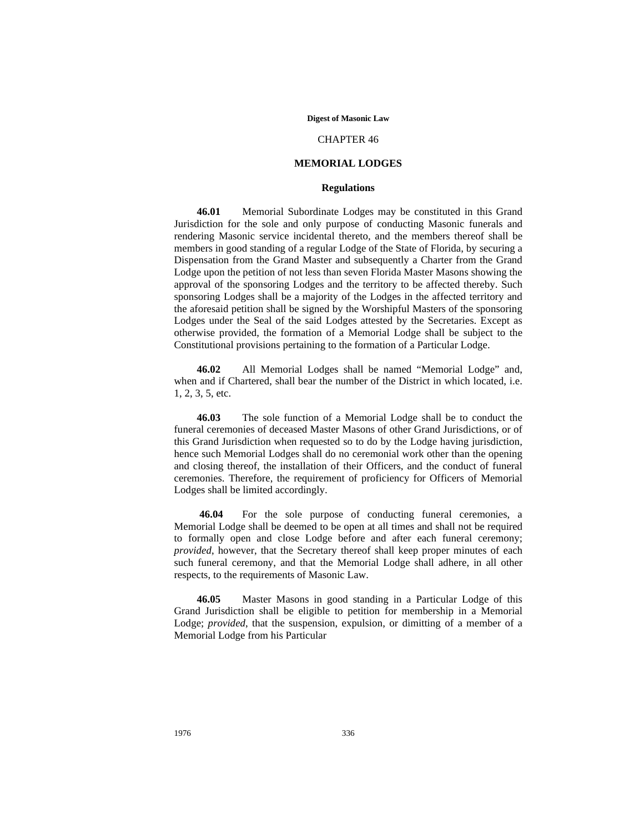#### **Digest of Masonic Law**

## CHAPTER 46

## **MEMORIAL LODGES**

## **Regulations**

**46.01** Memorial Subordinate Lodges may be constituted in this Grand Jurisdiction for the sole and only purpose of conducting Masonic funerals and rendering Masonic service incidental thereto, and the members thereof shall be members in good standing of a regular Lodge of the State of Florida, by securing a Dispensation from the Grand Master and subsequently a Charter from the Grand Lodge upon the petition of not less than seven Florida Master Masons showing the approval of the sponsoring Lodges and the territory to be affected thereby. Such sponsoring Lodges shall be a majority of the Lodges in the affected territory and the aforesaid petition shall be signed by the Worshipful Masters of the sponsoring Lodges under the Seal of the said Lodges attested by the Secretaries. Except as otherwise provided, the formation of a Memorial Lodge shall be subject to the Constitutional provisions pertaining to the formation of a Particular Lodge.

**46.02** All Memorial Lodges shall be named "Memorial Lodge" and, when and if Chartered, shall bear the number of the District in which located, i.e. 1, 2, 3, 5, etc.

**46.03** The sole function of a Memorial Lodge shall be to conduct the funeral ceremonies of deceased Master Masons of other Grand Jurisdictions, or of this Grand Jurisdiction when requested so to do by the Lodge having jurisdiction, hence such Memorial Lodges shall do no ceremonial work other than the opening and closing thereof, the installation of their Officers, and the conduct of funeral ceremonies. Therefore, the requirement of proficiency for Officers of Memorial Lodges shall be limited accordingly.

**46.04** For the sole purpose of conducting funeral ceremonies, a Memorial Lodge shall be deemed to be open at all times and shall not be required to formally open and close Lodge before and after each funeral ceremony; *provided*, however, that the Secretary thereof shall keep proper minutes of each such funeral ceremony, and that the Memorial Lodge shall adhere, in all other respects, to the requirements of Masonic Law.

**46.05** Master Masons in good standing in a Particular Lodge of this Grand Jurisdiction shall be eligible to petition for membership in a Memorial Lodge; *provided*, that the suspension, expulsion, or dimitting of a member of a Memorial Lodge from his Particular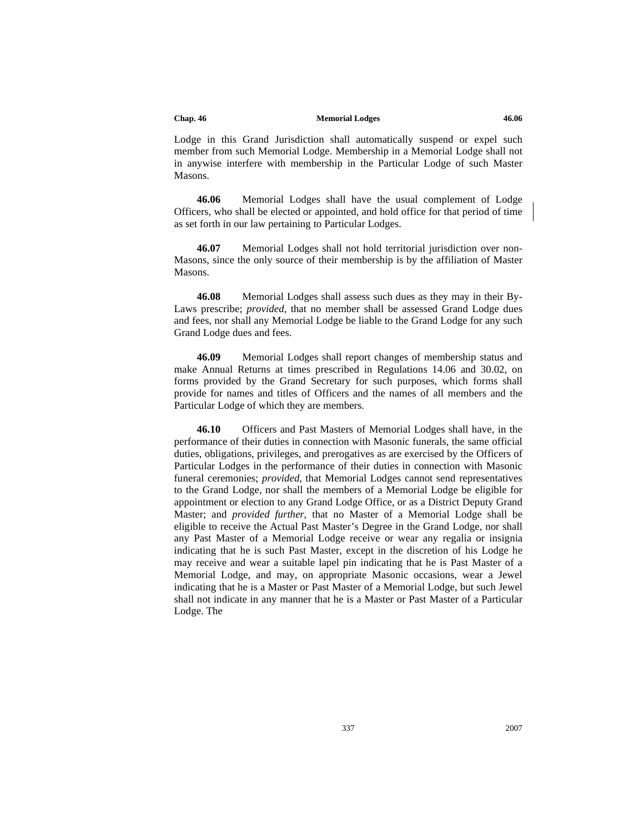Lodge in this Grand Jurisdiction shall automatically suspend or expel such member from such Memorial Lodge. Membership in a Memorial Lodge shall not in anywise interfere with membership in the Particular Lodge of such Master Masons.

**46.06** Memorial Lodges shall have the usual complement of Lodge Officers, who shall be elected or appointed, and hold office for that period of time as set forth in our law pertaining to Particular Lodges.

**46.07** Memorial Lodges shall not hold territorial jurisdiction over non-Masons, since the only source of their membership is by the affiliation of Master Masons.

**46.08** Memorial Lodges shall assess such dues as they may in their By-Laws prescribe; *provided*, that no member shall be assessed Grand Lodge dues and fees, nor shall any Memorial Lodge be liable to the Grand Lodge for any such Grand Lodge dues and fees.

**46.09** Memorial Lodges shall report changes of membership status and make Annual Returns at times prescribed in Regulations 14.06 and 30.02, on forms provided by the Grand Secretary for such purposes, which forms shall provide for names and titles of Officers and the names of all members and the Particular Lodge of which they are members.

**46.10** Officers and Past Masters of Memorial Lodges shall have, in the performance of their duties in connection with Masonic funerals, the same official duties, obligations, privileges, and prerogatives as are exercised by the Officers of Particular Lodges in the performance of their duties in connection with Masonic funeral ceremonies; *provided*, that Memorial Lodges cannot send representatives to the Grand Lodge, nor shall the members of a Memorial Lodge be eligible for appointment or election to any Grand Lodge Office, or as a District Deputy Grand Master; and *provided further*, that no Master of a Memorial Lodge shall be eligible to receive the Actual Past Master's Degree in the Grand Lodge, nor shall any Past Master of a Memorial Lodge receive or wear any regalia or insignia indicating that he is such Past Master, except in the discretion of his Lodge he may receive and wear a suitable lapel pin indicating that he is Past Master of a Memorial Lodge, and may, on appropriate Masonic occasions, wear a Jewel indicating that he is a Master or Past Master of a Memorial Lodge, but such Jewel shall not indicate in any manner that he is a Master or Past Master of a Particular Lodge. The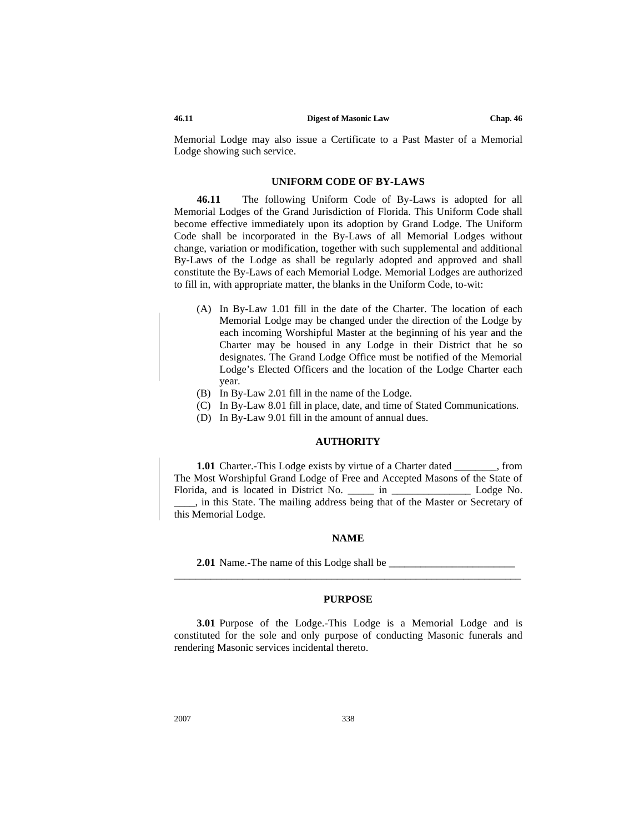Memorial Lodge may also issue a Certificate to a Past Master of a Memorial Lodge showing such service.

## **UNIFORM CODE OF BY-LAWS**

**46.11** The following Uniform Code of By-Laws is adopted for all Memorial Lodges of the Grand Jurisdiction of Florida. This Uniform Code shall become effective immediately upon its adoption by Grand Lodge. The Uniform Code shall be incorporated in the By-Laws of all Memorial Lodges without change, variation or modification, together with such supplemental and additional By-Laws of the Lodge as shall be regularly adopted and approved and shall constitute the By-Laws of each Memorial Lodge. Memorial Lodges are authorized to fill in, with appropriate matter, the blanks in the Uniform Code, to-wit:

- (A) In By-Law 1.01 fill in the date of the Charter. The location of each Memorial Lodge may be changed under the direction of the Lodge by each incoming Worshipful Master at the beginning of his year and the Charter may be housed in any Lodge in their District that he so designates. The Grand Lodge Office must be notified of the Memorial Lodge's Elected Officers and the location of the Lodge Charter each year.
- (B) In By-Law 2.01 fill in the name of the Lodge.
- (C) In By-Law 8.01 fill in place, date, and time of Stated Communications.
- (D) In By-Law 9.01 fill in the amount of annual dues.

## **AUTHORITY**

**1.01** Charter.-This Lodge exists by virtue of a Charter dated from from The Most Worshipful Grand Lodge of Free and Accepted Masons of the State of Florida, and is located in District No. \_\_\_\_\_\_ in \_\_\_\_\_\_\_\_\_\_\_\_\_\_\_\_\_\_\_\_\_\_\_ Lodge No. \_\_\_\_, in this State. The mailing address being that of the Master or Secretary of this Memorial Lodge.

## **NAME**

**2.01** Name.-The name of this Lodge shall be

## **PURPOSE**

\_\_\_\_\_\_\_\_\_\_\_\_\_\_\_\_\_\_\_\_\_\_\_\_\_\_\_\_\_\_\_\_\_\_\_\_\_\_\_\_\_\_\_\_\_\_\_\_\_\_\_\_\_\_\_\_\_\_\_\_\_\_\_\_\_\_

**3.01** Purpose of the Lodge.-This Lodge is a Memorial Lodge and is constituted for the sole and only purpose of conducting Masonic funerals and rendering Masonic services incidental thereto.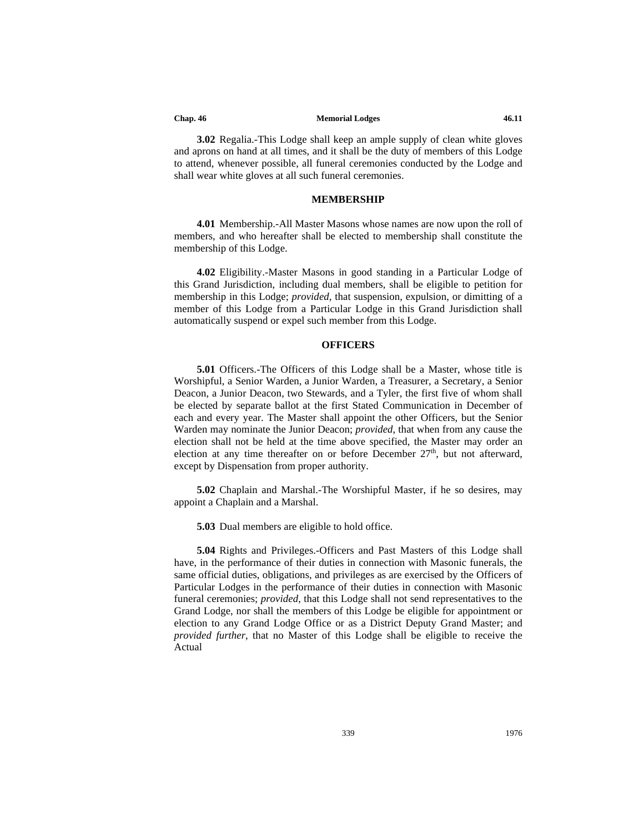**3.02** Regalia.-This Lodge shall keep an ample supply of clean white gloves and aprons on hand at all times, and it shall be the duty of members of this Lodge to attend, whenever possible, all funeral ceremonies conducted by the Lodge and shall wear white gloves at all such funeral ceremonies.

## **MEMBERSHIP**

**4.01** Membership.-All Master Masons whose names are now upon the roll of members, and who hereafter shall be elected to membership shall constitute the membership of this Lodge.

**4.02** Eligibility.-Master Masons in good standing in a Particular Lodge of this Grand Jurisdiction, including dual members, shall be eligible to petition for membership in this Lodge; *provided*, that suspension, expulsion, or dimitting of a member of this Lodge from a Particular Lodge in this Grand Jurisdiction shall automatically suspend or expel such member from this Lodge.

## **OFFICERS**

**5.01** Officers.-The Officers of this Lodge shall be a Master, whose title is Worshipful, a Senior Warden, a Junior Warden, a Treasurer, a Secretary, a Senior Deacon, a Junior Deacon, two Stewards, and a Tyler, the first five of whom shall be elected by separate ballot at the first Stated Communication in December of each and every year. The Master shall appoint the other Officers, but the Senior Warden may nominate the Junior Deacon; *provided*, that when from any cause the election shall not be held at the time above specified, the Master may order an election at any time thereafter on or before December  $27<sup>th</sup>$ , but not afterward, except by Dispensation from proper authority.

**5.02** Chaplain and Marshal.-The Worshipful Master, if he so desires, may appoint a Chaplain and a Marshal.

**5.03** Dual members are eligible to hold office.

**5.04** Rights and Privileges.-Officers and Past Masters of this Lodge shall have, in the performance of their duties in connection with Masonic funerals, the same official duties, obligations, and privileges as are exercised by the Officers of Particular Lodges in the performance of their duties in connection with Masonic funeral ceremonies; *provided*, that this Lodge shall not send representatives to the Grand Lodge, nor shall the members of this Lodge be eligible for appointment or election to any Grand Lodge Office or as a District Deputy Grand Master; and *provided further*, that no Master of this Lodge shall be eligible to receive the Actual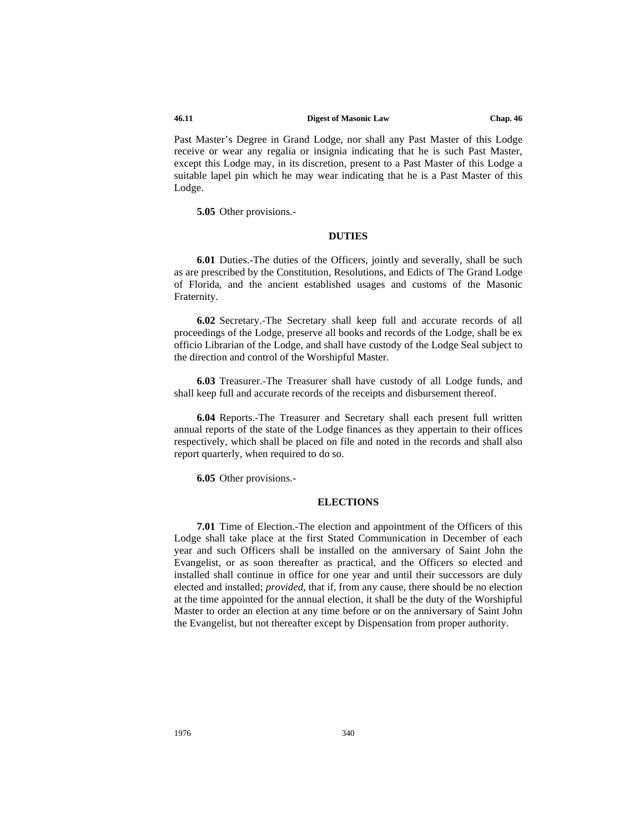#### **46.11 Digest of Masonic Law Chap. 46**

Past Master's Degree in Grand Lodge, nor shall any Past Master of this Lodge receive or wear any regalia or insignia indicating that he is such Past Master, except this Lodge may, in its discretion, present to a Past Master of this Lodge a suitable lapel pin which he may wear indicating that he is a Past Master of this Lodge.

**5.05** Other provisions.-

## **DUTIES**

**6.01** Duties.-The duties of the Officers, jointly and severally, shall be such as are prescribed by the Constitution, Resolutions, and Edicts of The Grand Lodge of Florida, and the ancient established usages and customs of the Masonic Fraternity.

**6.02** Secretary.-The Secretary shall keep full and accurate records of all proceedings of the Lodge, preserve all books and records of the Lodge, shall be ex officio Librarian of the Lodge, and shall have custody of the Lodge Seal subject to the direction and control of the Worshipful Master.

**6.03** Treasurer.-The Treasurer shall have custody of all Lodge funds, and shall keep full and accurate records of the receipts and disbursement thereof.

**6.04** Reports.-The Treasurer and Secretary shall each present full written annual reports of the state of the Lodge finances as they appertain to their offices respectively, which shall be placed on file and noted in the records and shall also report quarterly, when required to do so.

**6.05** Other provisions.-

### **ELECTIONS**

**7.01** Time of Election.-The election and appointment of the Officers of this Lodge shall take place at the first Stated Communication in December of each year and such Officers shall be installed on the anniversary of Saint John the Evangelist, or as soon thereafter as practical, and the Officers so elected and installed shall continue in office for one year and until their successors are duly elected and installed; *provided*, that if, from any cause, there should be no election at the time appointed for the annual election, it shall be the duty of the Worshipful Master to order an election at any time before or on the anniversary of Saint John the Evangelist, but not thereafter except by Dispensation from proper authority.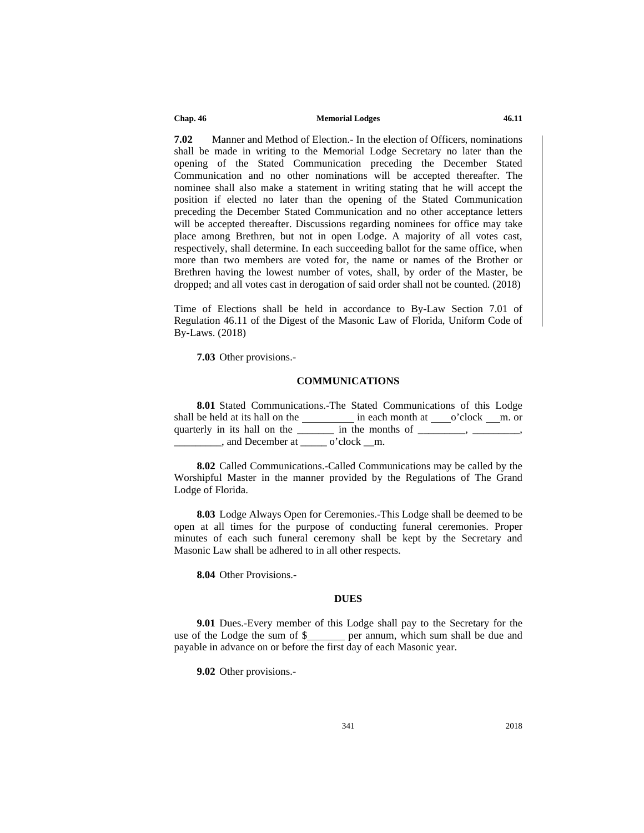**7.02** Manner and Method of Election.- In the election of Officers, nominations shall be made in writing to the Memorial Lodge Secretary no later than the opening of the Stated Communication preceding the December Stated Communication and no other nominations will be accepted thereafter. The nominee shall also make a statement in writing stating that he will accept the position if elected no later than the opening of the Stated Communication preceding the December Stated Communication and no other acceptance letters will be accepted thereafter. Discussions regarding nominees for office may take place among Brethren, but not in open Lodge. A majority of all votes cast, respectively, shall determine. In each succeeding ballot for the same office, when more than two members are voted for, the name or names of the Brother or Brethren having the lowest number of votes, shall, by order of the Master, be dropped; and all votes cast in derogation of said order shall not be counted. (2018)

Time of Elections shall be held in accordance to By-Law Section 7.01 of Regulation 46.11 of the Digest of the Masonic Law of Florida, Uniform Code of By-Laws. (2018)

**7.03** Other provisions.-

## **COMMUNICATIONS**

**8.01** Stated Communications.-The Stated Communications of this Lodge shall be held at its hall on the in each month at o'clock m. or quarterly in its hall on the \_\_\_\_\_\_\_\_ in the months of \_\_\_\_\_\_\_, \_\_\_\_\_\_\_, . and December at  $\qquad$  o'clock m.

**8.02** Called Communications.-Called Communications may be called by the Worshipful Master in the manner provided by the Regulations of The Grand Lodge of Florida.

**8.03** Lodge Always Open for Ceremonies.-This Lodge shall be deemed to be open at all times for the purpose of conducting funeral ceremonies. Proper minutes of each such funeral ceremony shall be kept by the Secretary and Masonic Law shall be adhered to in all other respects.

**8.04** Other Provisions.-

## **DUES**

**9.01** Dues.-Every member of this Lodge shall pay to the Secretary for the use of the Lodge the sum of \$\_\_\_\_\_\_ per annum, which sum shall be due and payable in advance on or before the first day of each Masonic year.

**9.02** Other provisions.-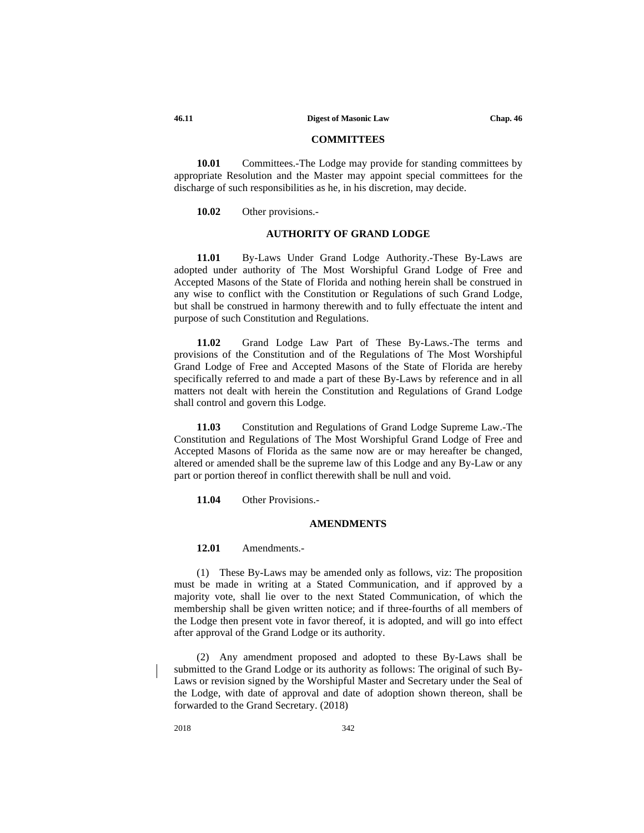## **COMMITTEES**

**10.01** Committees.-The Lodge may provide for standing committees by appropriate Resolution and the Master may appoint special committees for the discharge of such responsibilities as he, in his discretion, may decide.

**10.02** Other provisions.-

## **AUTHORITY OF GRAND LODGE**

**11.01** By-Laws Under Grand Lodge Authority.-These By-Laws are adopted under authority of The Most Worshipful Grand Lodge of Free and Accepted Masons of the State of Florida and nothing herein shall be construed in any wise to conflict with the Constitution or Regulations of such Grand Lodge, but shall be construed in harmony therewith and to fully effectuate the intent and purpose of such Constitution and Regulations.

**11.02** Grand Lodge Law Part of These By-Laws.-The terms and provisions of the Constitution and of the Regulations of The Most Worshipful Grand Lodge of Free and Accepted Masons of the State of Florida are hereby specifically referred to and made a part of these By-Laws by reference and in all matters not dealt with herein the Constitution and Regulations of Grand Lodge shall control and govern this Lodge.

**11.03** Constitution and Regulations of Grand Lodge Supreme Law.-The Constitution and Regulations of The Most Worshipful Grand Lodge of Free and Accepted Masons of Florida as the same now are or may hereafter be changed, altered or amended shall be the supreme law of this Lodge and any By-Law or any part or portion thereof in conflict therewith shall be null and void.

**11.04** Other Provisions.-

#### **AMENDMENTS**

**12.01** Amendments.-

(1) These By-Laws may be amended only as follows, viz: The proposition must be made in writing at a Stated Communication, and if approved by a majority vote, shall lie over to the next Stated Communication, of which the membership shall be given written notice; and if three-fourths of all members of the Lodge then present vote in favor thereof, it is adopted, and will go into effect after approval of the Grand Lodge or its authority.

(2) Any amendment proposed and adopted to these By-Laws shall be submitted to the Grand Lodge or its authority as follows: The original of such By-Laws or revision signed by the Worshipful Master and Secretary under the Seal of the Lodge, with date of approval and date of adoption shown thereon, shall be forwarded to the Grand Secretary. (2018)

2018 342